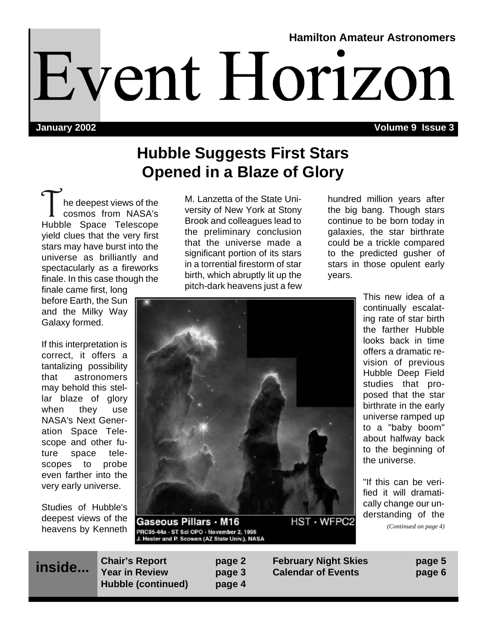# **Hamilton Amateur Astronomers** Event Horizon

**January 2002**

**Volume 9 Issue 3**

## **Hubble Suggests First Stars Opened in a Blaze of Glory**

The deepest views of the<br>
cosmos from NASA's<br>
Hubble Space Telescope he deepest views of the cosmos from NASA's yield clues that the very first stars may have burst into the universe as brilliantly and spectacularly as a fireworks finale. In this case though the

finale came first, long before Earth, the Sun and the Milky Way Galaxy formed.

If this interpretation is correct, it offers a tantalizing possibility that astronomers may behold this stellar blaze of glory when they use NASA's Next Generation Space Telescope and other future space telescopes to probe even farther into the very early universe.

Studies of Hubble's deepest views of the heavens by Kenneth M. Lanzetta of the State University of New York at Stony Brook and colleagues lead to the preliminary conclusion that the universe made a significant portion of its stars in a torrential firestorm of star birth, which abruptly lit up the pitch-dark heavens just a few

hundred million years after the big bang. Though stars continue to be born today in galaxies, the star birthrate could be a trickle compared to the predicted gusher of stars in those opulent early years.



Gaseous Pillars · M16 PRC95-44a - ST Scl OPO - November 2, 1995<br>J. Hester and P. Scowen (AZ State Univ.), NASA

**HST · WFPC2** 

This new idea of a continually escalating rate of star birth the farther Hubble looks back in time offers a dramatic revision of previous Hubble Deep Field studies that proposed that the star birthrate in the early universe ramped up to a "baby boom" about halfway back to the beginning of the universe.

"If this can be verified it will dramatically change our understanding of the *(Continued on page 4)*

| inside | <b>Chair's Report</b> | page 2 |
|--------|-----------------------|--------|
|        | <b>Year in Review</b> | page 3 |
|        | Hubble (continued)    | page 4 |

**Chair's Report page 2 February Night Skies page 5 Year in Review page 3 Calendar of Events page 6**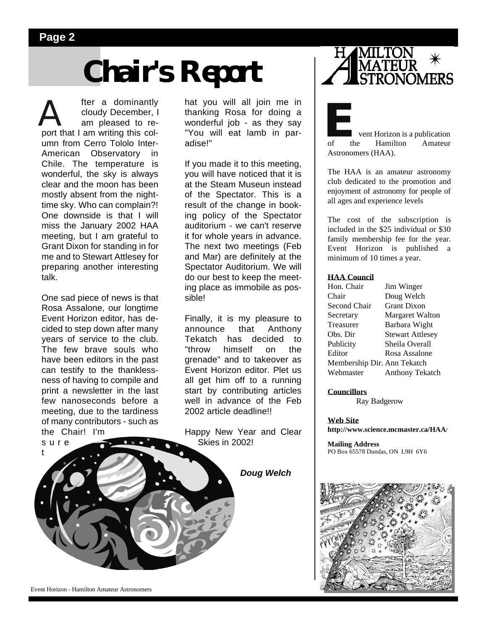### **Page 2**

# **Chair's Report**

fter a dominantly<br>cloudy December, I<br>am pleased to re-<br>port that I am writing this colcloudy December, I am pleased to reumn from Cerro Tololo Inter-American Observatory Chile. The temperature is wonderful, the sky is always clear and the moon has been mostly absent from the nighttime sky. Who can complain?! One downside is that I will miss the January 2002 HAA meeting, but I am grateful to Grant Dixon for standing in for me and to Stewart Attlesey for preparing another interesting talk.

One sad piece of news is that Rosa Assalone, our longtime Event Horizon editor, has decided to step down after many years of service to the club. The few brave souls who have been editors in the past can testify to the thanklessness of having to compile and print a newsletter in the last few nanoseconds before a meeting, due to the tardiness of many contributors - such as the Chair! I'm sure

hat you will all join me in thanking Rosa for doing a wonderful job - as they say "You will eat lamb in paradise!"

If you made it to this meeting, you will have noticed that it is at the Steam Museun instead of the Spectator. This is a result of the change in booking policy of the Spectator auditorium - we can't reserve it for whole years in advance. The next two meetings (Feb and Mar) are definitely at the Spectator Auditorium. We will do our best to keep the meeting place as immobile as possible!

Finally, it is my pleasure to announce that Anthony Tekatch has decided to "throw himself on the grenade" and to takeover as Event Horizon editor. Plet us all get him off to a running start by contributing articles well in advance of the Feb 2002 article deadline!!

Happy New Year and Clear Skies in 2002!

*Doug Welch*



**Example 18 vent Horizon is a publication**<br>of the Hamilton Amateur Hamilton Astronomers (HAA).

The HAA is an amateur astronomy club dedicated to the promotion and enjoyment of astronomy for people of all ages and experience levels

The cost of the subscription is included in the \$25 individual or \$30 family membership fee for the year. Event Horizon is published a minimum of 10 times a year.

#### **HAA Council**

| Hon. Chair                  | Jim Winger              |
|-----------------------------|-------------------------|
| Chair                       | Doug Welch              |
| Second Chair                | <b>Grant Dixon</b>      |
| Secretary                   | <b>Margaret Walton</b>  |
| Treasurer                   | Barbara Wight           |
| Obs. Dir                    | <b>Stewart Attlesey</b> |
| Publicity                   | Sheila Overall          |
| Editor                      | Rosa Assalone           |
| Membership Dir. Ann Tekatch |                         |
| Webmaster                   | <b>Anthony Tekatch</b>  |

**Councillors**

Ray Badgerow

**Web Site http://www.science.mcmaster.ca/HAA/**

**Mailing Address** PO Box 65578 Dundas, ON L9H 6Y6



Event Horizon - Hamilton Amateur Astronomers

t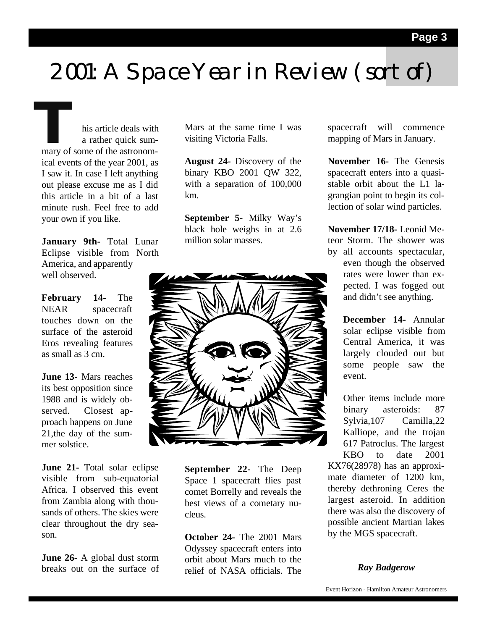# 2001: A Space Year in Review (sort of)

**THE MARK STRANGE STARK SUPPER STARK SUPPER STARK SUPPER STARK SUPPER STARK SUPPER STARK STARK STARK STARK STARK STARK STARK STARK STARK STARK STARK STARK STARK STARK STARK STARK STARK STARK STARK STARK STARK STARK STARK S** a rather quick sumical events of the year 2001, as I saw it. In case I left anything out please excuse me as I did this article in a bit of a last minute rush. Feel free to add your own if you like.

**January 9th-** Total Lunar Eclipse visible from North America, and apparently well observed.

**February 14-** The NEAR spacecraft touches down on the surface of the asteroid Eros revealing features as small as 3 cm.

**June 13-** Mars reaches its best opposition since 1988 and is widely observed. Closest approach happens on June 21,the day of the summer solstice.

**June 21-** Total solar eclipse visible from sub-equatorial Africa. I observed this event from Zambia along with thousands of others. The skies were clear throughout the dry season.

**June 26-** A global dust storm breaks out on the surface of Mars at the same time I was visiting Victoria Falls.

**August 24-** Discovery of the binary KBO 2001 QW 322, with a separation of 100,000 km.

**September 5-** Milky Way's black hole weighs in at 2.6 million solar masses.



**September 22-** The Deep Space 1 spacecraft flies past comet Borrelly and reveals the best views of a cometary nucleus.

**October 24-** The 2001 Mars Odyssey spacecraft enters into orbit about Mars much to the relief of NASA officials. The spacecraft will commence mapping of Mars in January.

**November 16-** The Genesis spacecraft enters into a quasistable orbit about the L1 lagrangian point to begin its collection of solar wind particles.

**November 17/18-** Leonid Meteor Storm. The shower was by all accounts spectacular, even though the observed rates were lower than expected. I was fogged out and didn't see anything.

> **December 14-** Annular solar eclipse visible from Central America, it was largely clouded out but some people saw the event.

> Other items include more binary asteroids: 87 Sylvia,107 Camilla,22 Kalliope, and the trojan 617 Patroclus. The largest KBO to date 2001

KX76(28978) has an approximate diameter of 1200 km, thereby dethroning Ceres the largest asteroid. In addition there was also the discovery of possible ancient Martian lakes by the MGS spacecraft.

### *Ray Badgerow*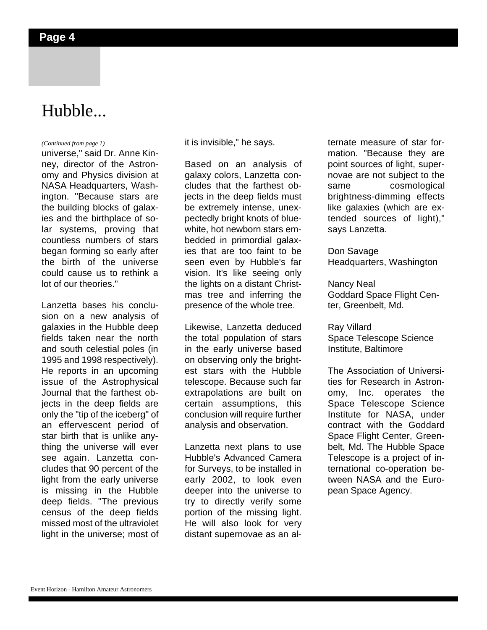## Hubble...

universe," said Dr. Anne Kinney, director of the Astronomy and Physics division at NASA Headquarters, Washington. "Because stars are the building blocks of galaxies and the birthplace of solar systems, proving that countless numbers of stars began forming so early after the birth of the universe could cause us to rethink a lot of our theories."

Lanzetta bases his conclusion on a new analysis of galaxies in the Hubble deep fields taken near the north and south celestial poles (in 1995 and 1998 respectively). He reports in an upcoming issue of the Astrophysical Journal that the farthest objects in the deep fields are only the "tip of the iceberg" of an effervescent period of star birth that is unlike anything the universe will ever see again. Lanzetta concludes that 90 percent of the light from the early universe is missing in the Hubble deep fields. "The previous census of the deep fields missed most of the ultraviolet light in the universe; most of

*(Continued from page 1)* it is invisible," he says.

Based on an analysis of galaxy colors, Lanzetta concludes that the farthest objects in the deep fields must be extremely intense, unexpectedly bright knots of bluewhite, hot newborn stars embedded in primordial galaxies that are too faint to be seen even by Hubble's far vision. It's like seeing only the lights on a distant Christmas tree and inferring the presence of the whole tree.

Likewise, Lanzetta deduced the total population of stars in the early universe based on observing only the brightest stars with the Hubble telescope. Because such far extrapolations are built on certain assumptions, this conclusion will require further analysis and observation.

Lanzetta next plans to use Hubble's Advanced Camera for Surveys, to be installed in early 2002, to look even deeper into the universe to try to directly verify some portion of the missing light. He will also look for very distant supernovae as an alternate measure of star formation. "Because they are point sources of light, supernovae are not subject to the same cosmological brightness-dimming effects like galaxies (which are extended sources of light)," says Lanzetta.

Don Savage Headquarters, Washington

Nancy Neal Goddard Space Flight Center, Greenbelt, Md.

Ray Villard Space Telescope Science Institute, Baltimore

The Association of Universities for Research in Astronomy, Inc. operates the Space Telescope Science Institute for NASA, under contract with the Goddard Space Flight Center, Greenbelt, Md. The Hubble Space Telescope is a project of international co-operation between NASA and the European Space Agency.